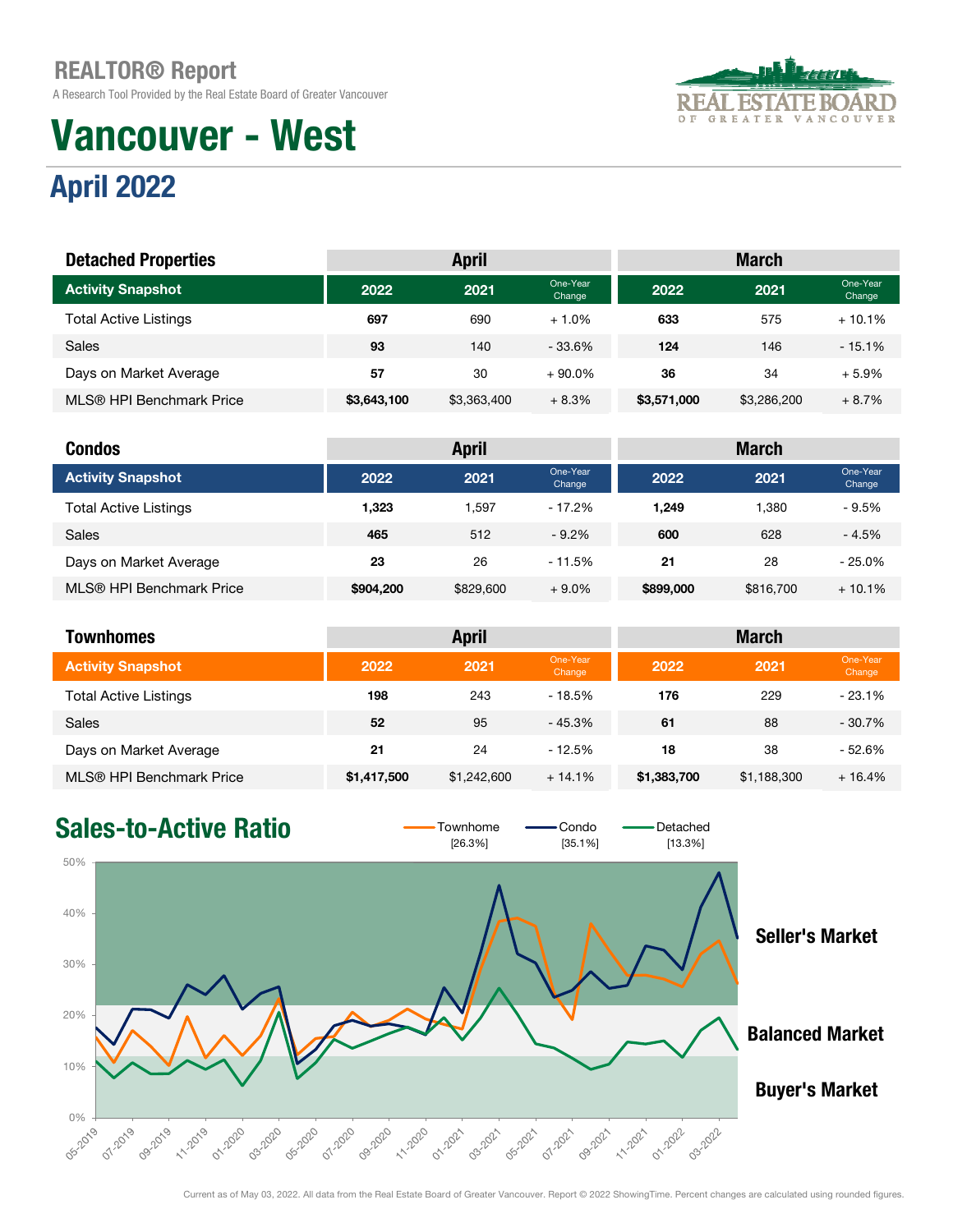A Research Tool Provided by the Real Estate Board of Greater Vancouver

# Vancouver - West





| <b>Detached Properties</b>   |             | <b>April</b> |                    | <b>March</b> |             |                    |
|------------------------------|-------------|--------------|--------------------|--------------|-------------|--------------------|
| <b>Activity Snapshot</b>     | 2022        | 2021         | One-Year<br>Change | 2022         | 2021        | One-Year<br>Change |
| <b>Total Active Listings</b> | 697         | 690          | $+1.0%$            | 633          | 575         | $+10.1%$           |
| <b>Sales</b>                 | 93          | 140          | $-33.6%$           | 124          | 146         | $-15.1%$           |
| Days on Market Average       | 57          | 30           | $+90.0\%$          | 36           | 34          | $+5.9%$            |
| MLS® HPI Benchmark Price     | \$3,643,100 | \$3,363,400  | $+8.3%$            | \$3,571,000  | \$3,286,200 | $+8.7%$            |

| <b>Condos</b>                |           | <b>April</b> |                    |           | <b>March</b> |                    |
|------------------------------|-----------|--------------|--------------------|-----------|--------------|--------------------|
| <b>Activity Snapshot</b>     | 2022      | 2021         | One-Year<br>Change | 2022      | 2021         | One-Year<br>Change |
| <b>Total Active Listings</b> | 1.323     | 1.597        | $-17.2%$           | 1.249     | .380         | $-9.5%$            |
| <b>Sales</b>                 | 465       | 512          | $-9.2\%$           | 600       | 628          | $-4.5%$            |
| Days on Market Average       | 23        | 26           | $-11.5%$           | 21        | 28           | $-25.0%$           |
| MLS® HPI Benchmark Price     | \$904,200 | \$829,600    | $+9.0\%$           | \$899,000 | \$816,700    | $+10.1%$           |

| <b>Townhomes</b>             |             | <b>April</b> |                    | <b>March</b> |             |                    |  |
|------------------------------|-------------|--------------|--------------------|--------------|-------------|--------------------|--|
| <b>Activity Snapshot</b>     | 2022        | 2021         | One-Year<br>Change | 2022         | 2021        | One-Year<br>Change |  |
| <b>Total Active Listings</b> | 198         | 243          | $-18.5%$           | 176          | 229         | $-23.1%$           |  |
| <b>Sales</b>                 | 52          | 95           | $-45.3%$           | 61           | 88          | $-30.7%$           |  |
| Days on Market Average       | 21          | 24           | $-12.5%$           | 18           | 38          | $-52.6%$           |  |
| MLS® HPI Benchmark Price     | \$1,417,500 | \$1,242,600  | $+14.1%$           | \$1,383,700  | \$1,188,300 | $+16.4%$           |  |

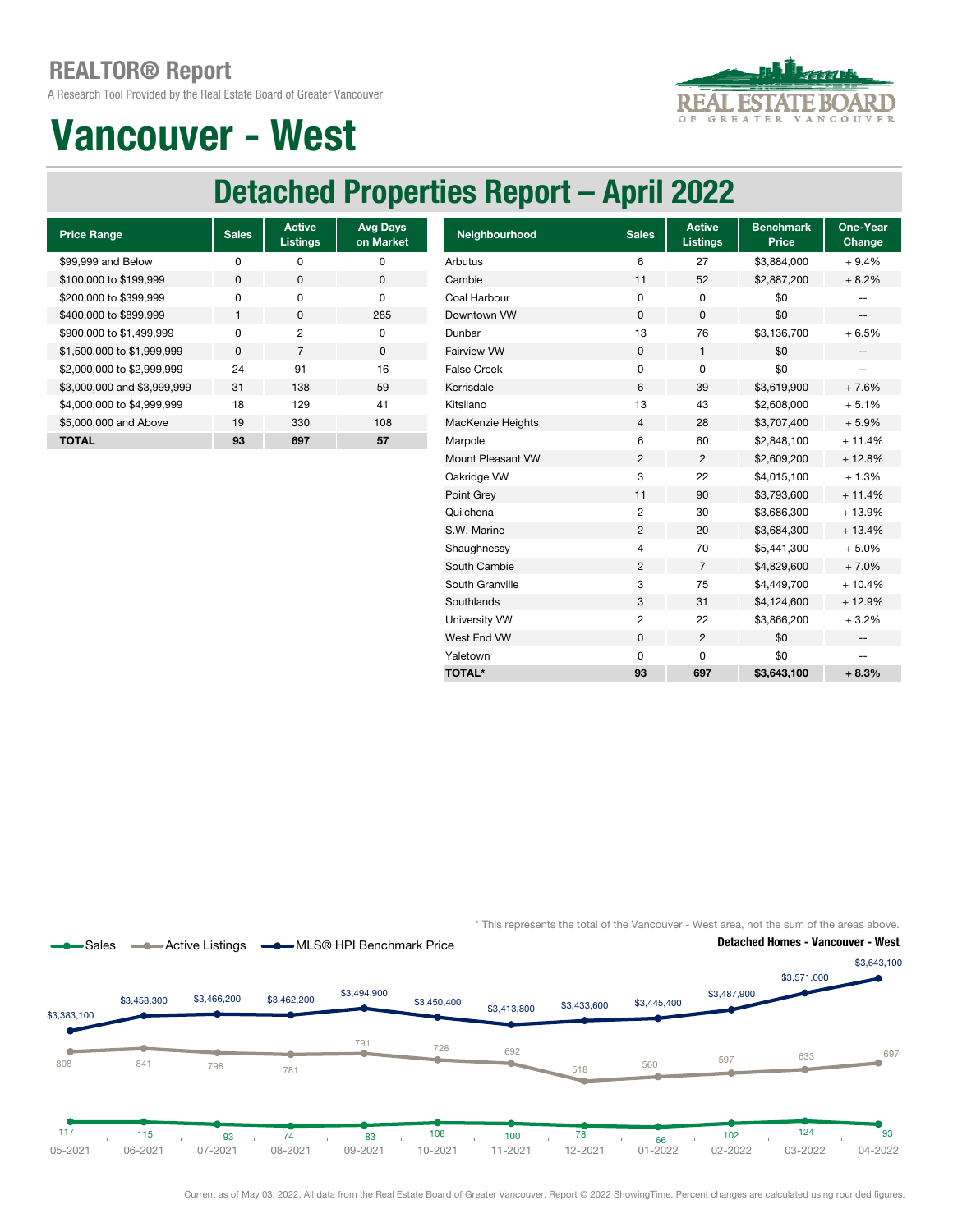A Research Tool Provided by the Real Estate Board of Greater Vancouver



### Vancouver - West

### Detached Properties Report – April 2022

| <b>Price Range</b>          | <b>Sales</b> | <b>Active</b><br><b>Listings</b> | <b>Avg Days</b><br>on Market |
|-----------------------------|--------------|----------------------------------|------------------------------|
| \$99,999 and Below          | ŋ            | ŋ                                | ŋ                            |
| \$100,000 to \$199,999      | $\Omega$     | O                                | 0                            |
| \$200,000 to \$399,999      | ŋ            | ŋ                                | O                            |
| \$400,000 to \$899,999      | 1            | O                                | 285                          |
| \$900,000 to \$1,499,999    | ŋ            | 2                                | O                            |
| \$1,500,000 to \$1,999,999  | $\Omega$     | 7                                | $\Omega$                     |
| \$2,000,000 to \$2,999,999  | 24           | 91                               | 16                           |
| \$3,000,000 and \$3,999,999 | 31           | 138                              | 59                           |
| \$4,000,000 to \$4,999,999  | 18           | 129                              | 41                           |
| \$5,000,000 and Above       | 19           | 330                              | 108                          |
| TOTAL                       | 93           | 697                              | 57                           |

| <b>Price Range</b>          | <b>Sales</b> | <b>Active</b><br><b>Listings</b> | <b>Avg Days</b><br>on Market | Neighbourhood      | <b>Sales</b>   | <b>Active</b><br><b>Listings</b> | <b>Benchmark</b><br>Price | One-Year<br><b>Change</b> |
|-----------------------------|--------------|----------------------------------|------------------------------|--------------------|----------------|----------------------------------|---------------------------|---------------------------|
| \$99,999 and Below          | $\pmb{0}$    | $\mathbf 0$                      | $\pmb{0}$                    | Arbutus            | 6              | 27                               | \$3,884,000               | $+9.4%$                   |
| \$100,000 to \$199,999      | $\mathbf 0$  | $\mathbf 0$                      | $\mathbf 0$                  | Cambie             | 11             | 52                               | \$2,887,200               | $+8.2%$                   |
| \$200,000 to \$399,999      | $\pmb{0}$    | $\mathbf 0$                      | $\pmb{0}$                    | Coal Harbour       | $\mathbf 0$    | 0                                | \$0                       | --                        |
| \$400,000 to \$899,999      | $\mathbf{1}$ | 0                                | 285                          | Downtown VW        | $\mathbf 0$    | 0                                | \$0                       | $-\, -$                   |
| \$900,000 to \$1,499,999    | $\mathbf 0$  | $\overline{c}$                   | $\pmb{0}$                    | Dunbar             | 13             | 76                               | \$3,136,700               | $+6.5%$                   |
| \$1,500,000 to \$1,999,999  | $\mathsf 0$  | $\overline{7}$                   | $\mathbf 0$                  | <b>Fairview VW</b> | $\mathbf 0$    | $\mathbf{1}$                     | \$0                       | $\overline{\phantom{a}}$  |
| \$2,000,000 to \$2,999,999  | 24           | 91                               | 16                           | <b>False Creek</b> | $\mathbf 0$    | 0                                | \$0                       | $\overline{\phantom{a}}$  |
| \$3,000,000 and \$3,999,999 | 31           | 138                              | 59                           | Kerrisdale         | 6              | 39                               | \$3,619,900               | $+7.6%$                   |
| \$4,000,000 to \$4,999,999  | 18           | 129                              | 41                           | Kitsilano          | 13             | 43                               | \$2,608,000               | $+5.1%$                   |
| \$5,000,000 and Above       | 19           | 330                              | 108                          | MacKenzie Heights  | $\overline{4}$ | 28                               | \$3,707,400               | $+5.9%$                   |
| <b>TOTAL</b>                | 93           | 697                              | 57                           | Marpole            | 6              | 60                               | \$2,848,100               | $+11.4%$                  |
|                             |              |                                  |                              | Mount Pleasant VW  | $\overline{2}$ | $\overline{2}$                   | \$2,609,200               | $+12.8%$                  |
|                             |              |                                  |                              | Oakridge VW        | 3              | 22                               | \$4,015,100               | $+1.3%$                   |
|                             |              |                                  |                              | Point Grey         | 11             | 90                               | \$3,793,600               | $+11.4%$                  |
|                             |              |                                  |                              | Quilchena          | $\overline{c}$ | 30                               | \$3,686,300               | + 13.9%                   |
|                             |              |                                  |                              | S.W. Marine        | $\overline{2}$ | 20                               | \$3,684,300               | $+13.4%$                  |
|                             |              |                                  |                              | Shaughnessy        | 4              | 70                               | \$5,441,300               | $+5.0%$                   |
|                             |              |                                  |                              | South Cambie       | $\overline{2}$ | $\overline{7}$                   | \$4,829,600               | $+7.0%$                   |
|                             |              |                                  |                              | South Granville    | 3              | 75                               | \$4,449,700               | $+10.4%$                  |
|                             |              |                                  |                              | Southlands         | 3              | 31                               | \$4,124,600               | $+12.9%$                  |
|                             |              |                                  |                              | University VW      | $\overline{c}$ | 22                               | \$3,866,200               | $+3.2%$                   |
|                             |              |                                  |                              | West End VW        | $\mathbf 0$    | $\overline{c}$                   | \$0                       | $- -$                     |
|                             |              |                                  |                              | Yaletown           | $\mathbf 0$    | 0                                | \$0                       | $\overline{\phantom{m}}$  |
|                             |              |                                  |                              | <b>TOTAL*</b>      | 93             | 697                              | \$3,643,100               | $+8.3%$                   |

\* This represents the total of the Vancouver - West area, not the sum of the areas above.



Current as of May 03, 2022. All data from the Real Estate Board of Greater Vancouver. Report © 2022 ShowingTime. Percent changes are calculated using rounded figures.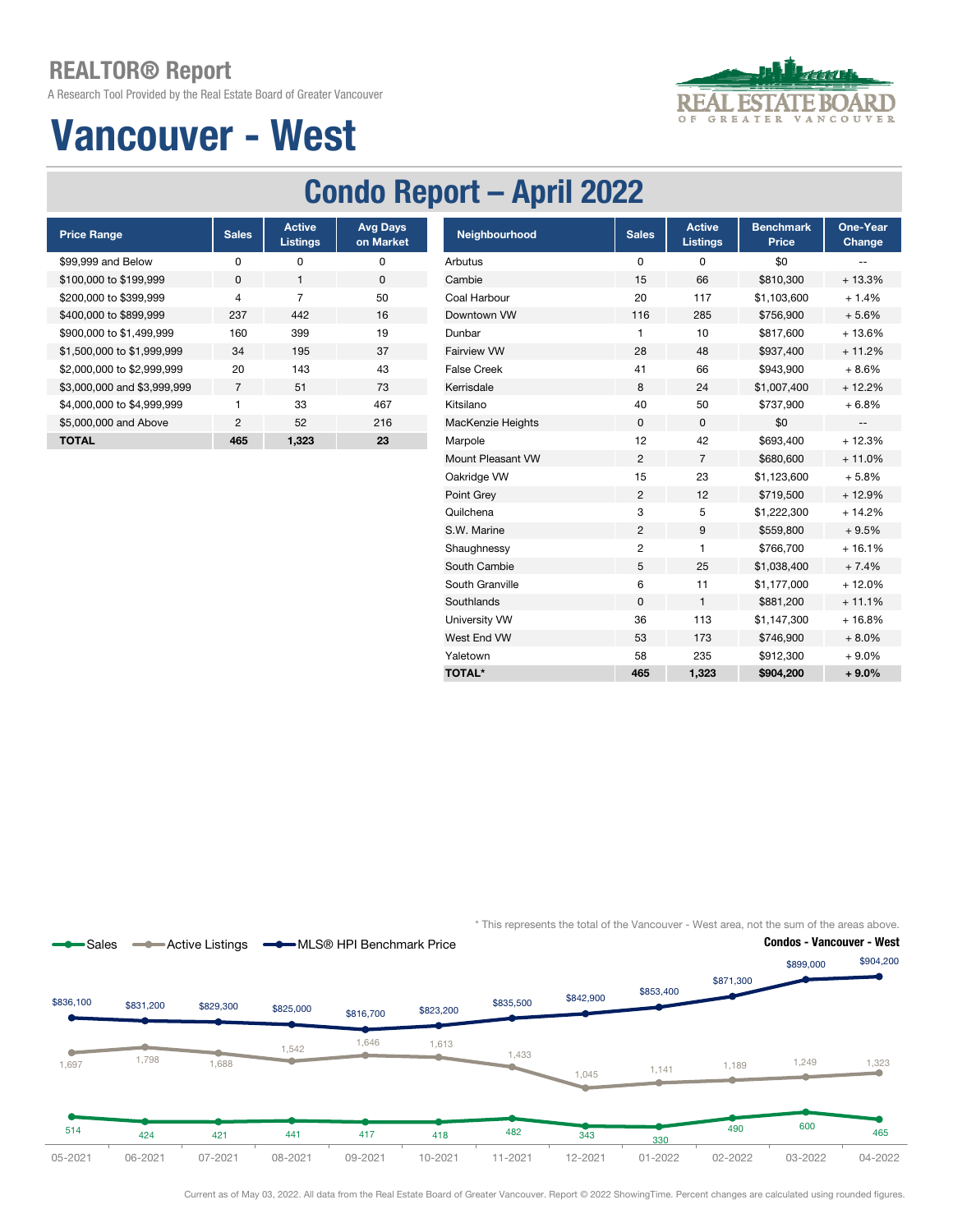A Research Tool Provided by the Real Estate Board of Greater Vancouver

### Vancouver - West



| <b>Price Range</b>          | <b>Sales</b>   | <b>Active</b><br><b>Listings</b> | <b>Avg Days</b><br>on Market |   |
|-----------------------------|----------------|----------------------------------|------------------------------|---|
| \$99,999 and Below          | 0              | 0                                | 0                            |   |
| \$100,000 to \$199,999      | $\Omega$       | 1                                | 0                            | C |
| \$200,000 to \$399,999      | $\overline{4}$ | 7                                | 50                           |   |
| \$400,000 to \$899,999      | 237            | 442                              | 16                           | С |
| \$900,000 to \$1,499,999    | 160            | 399                              | 19                           | г |
| \$1,500,000 to \$1,999,999  | 34             | 195                              | 37                           | F |
| \$2,000,000 to \$2,999,999  | 20             | 143                              | 43                           | F |
| \$3,000,000 and \$3,999,999 | $\overline{7}$ | 51                               | 73                           | k |
| \$4,000,000 to \$4,999,999  |                | 33                               | 467                          | k |
| \$5,000,000 and Above       | $\mathfrak{p}$ | 52                               | 216                          | Λ |
| <b>TOTAL</b>                | 465            | 1,323                            | 23                           | ٨ |
|                             |                |                                  |                              |   |

| <b>Price Range</b>          | <b>Sales</b>   | <b>Active</b><br><b>Listings</b> | <b>Avg Days</b><br>on Market | Neighbourhood      | <b>Sales</b>   | <b>Active</b><br><b>Listings</b> | <b>Benchmark</b><br><b>Price</b> | One-Year<br>Change       |
|-----------------------------|----------------|----------------------------------|------------------------------|--------------------|----------------|----------------------------------|----------------------------------|--------------------------|
| \$99,999 and Below          | 0              | $\mathbf 0$                      | 0                            | Arbutus            | 0              | 0                                | \$0                              | $-$                      |
| \$100,000 to \$199,999      | 0              | $\mathbf{1}$                     | $\mathbf 0$                  | Cambie             | 15             | 66                               | \$810,300                        | $+13.3%$                 |
| \$200,000 to \$399,999      | 4              | $\overline{7}$                   | 50                           | Coal Harbour       | 20             | 117                              | \$1,103,600                      | $+1.4%$                  |
| \$400,000 to \$899,999      | 237            | 442                              | 16                           | Downtown VW        | 116            | 285                              | \$756,900                        | $+5.6%$                  |
| \$900,000 to \$1,499,999    | 160            | 399                              | 19                           | Dunbar             | 1              | 10                               | \$817,600                        | $+13.6%$                 |
| \$1,500,000 to \$1,999,999  | 34             | 195                              | 37                           | <b>Fairview VW</b> | 28             | 48                               | \$937,400                        | $+11.2%$                 |
| \$2,000,000 to \$2,999,999  | 20             | 143                              | 43                           | <b>False Creek</b> | 41             | 66                               | \$943,900                        | $+8.6%$                  |
| \$3,000,000 and \$3,999,999 | $\overline{7}$ | 51                               | 73                           | Kerrisdale         | 8              | 24                               | \$1,007,400                      | $+12.2%$                 |
| \$4,000,000 to \$4,999,999  | 1              | 33                               | 467                          | Kitsilano          | 40             | 50                               | \$737,900                        | $+6.8%$                  |
| \$5,000,000 and Above       | 2              | 52                               | 216                          | MacKenzie Heights  | 0              | 0                                | \$0                              | $\overline{\phantom{a}}$ |
| <b>TOTAL</b>                | 465            | 1,323                            | 23                           | Marpole            | 12             | 42                               | \$693,400                        | $+12.3%$                 |
|                             |                |                                  |                              | Mount Pleasant VW  | $\overline{c}$ | 7                                | \$680,600                        | $+11.0%$                 |
|                             |                |                                  |                              | Oakridge VW        | 15             | 23                               | \$1,123,600                      | $+5.8%$                  |
|                             |                |                                  |                              | Point Grey         | 2              | 12                               | \$719,500                        | $+12.9%$                 |
|                             |                |                                  |                              | Quilchena          | 3              | 5                                | \$1,222,300                      | $+14.2%$                 |
|                             |                |                                  |                              | S.W. Marine        | $\overline{c}$ | 9                                | \$559,800                        | $+9.5%$                  |
|                             |                |                                  |                              | Shaughnessy        | $\overline{c}$ | 1                                | \$766,700                        | $+16.1%$                 |
|                             |                |                                  |                              | South Cambie       | 5              | 25                               | \$1,038,400                      | $+7.4%$                  |
|                             |                |                                  |                              | South Granville    | 6              | 11                               | \$1,177,000                      | $+12.0%$                 |
|                             |                |                                  |                              | Southlands         | 0              | 1                                | \$881,200                        | $+11.1%$                 |
|                             |                |                                  |                              | University VW      | 36             | 113                              | \$1,147,300                      | $+16.8%$                 |
|                             |                |                                  |                              | West End VW        | 53             | 173                              | \$746,900                        | $+8.0%$                  |
|                             |                |                                  |                              | Yaletown           | 58             | 235                              | \$912,300                        | $+9.0%$                  |
|                             |                |                                  |                              | <b>TOTAL*</b>      | 465            | 1,323                            | \$904,200                        | $+9.0%$                  |

\* This represents the total of the Vancouver - West area, not the sum of the areas above.



Current as of May 03, 2022. All data from the Real Estate Board of Greater Vancouver. Report © 2022 ShowingTime. Percent changes are calculated using rounded figures.

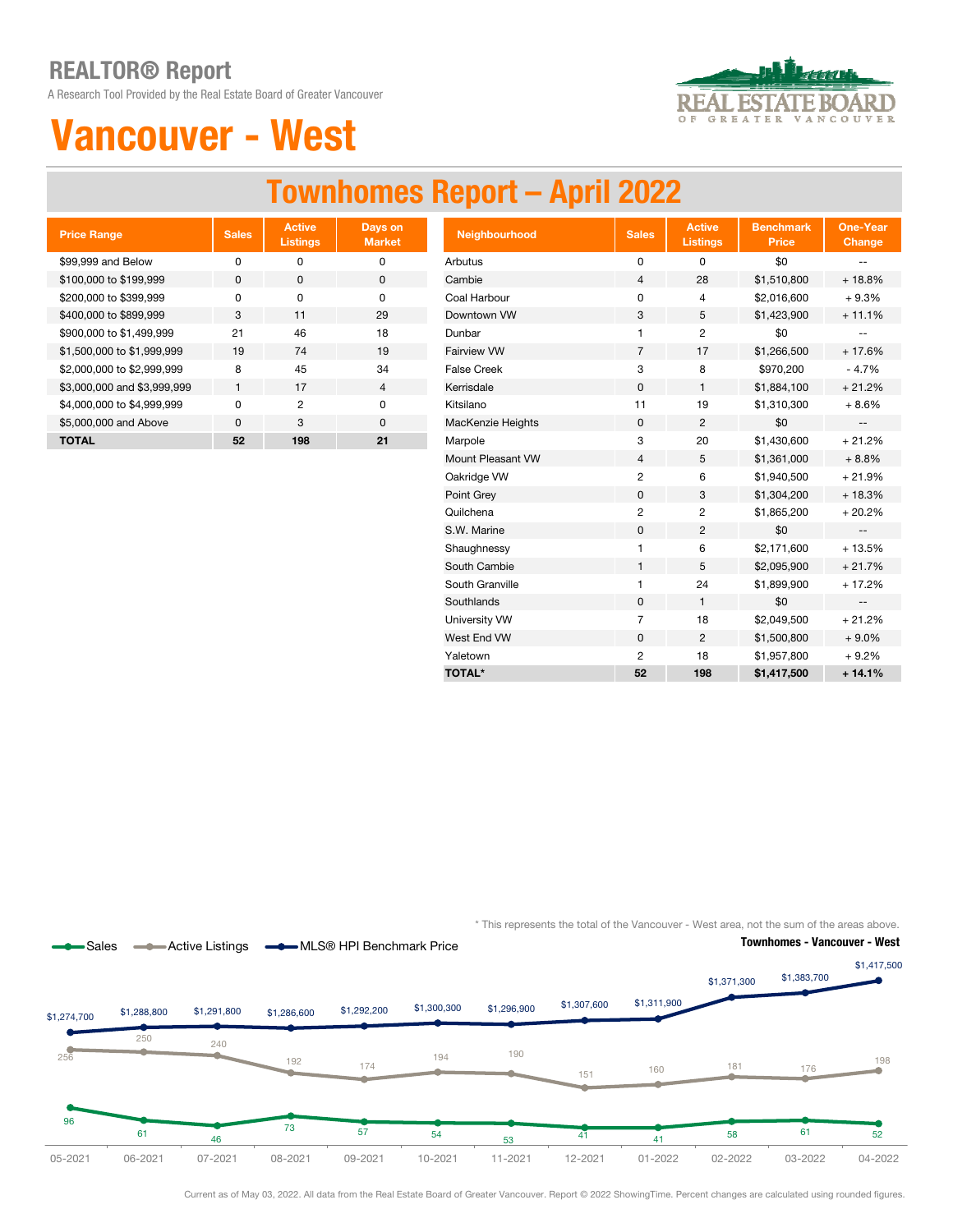A Research Tool Provided by the Real Estate Board of Greater Vancouver



## Vancouver - West

### Townhomes Report – April 2022

| <b>Price Range</b>          | <b>Sales</b> | <b>Active</b><br><b>Listings</b> | Days on<br><b>Market</b> |
|-----------------------------|--------------|----------------------------------|--------------------------|
| \$99,999 and Below          | O            | ŋ                                | O                        |
| \$100,000 to \$199,999      | <sup>0</sup> | <sup>0</sup>                     | 0                        |
| \$200,000 to \$399,999      | <sup>0</sup> | $\Omega$                         | O                        |
| \$400,000 to \$899,999      | 3            | 11                               | 29                       |
| \$900,000 to \$1,499,999    | 21           | 46                               | 18                       |
| \$1,500,000 to \$1,999,999  | 19           | 74                               | 19                       |
| \$2,000,000 to \$2,999,999  | 8            | 45                               | 34                       |
| \$3,000,000 and \$3,999,999 | 1            | 17                               | $\overline{\mathcal{A}}$ |
| \$4,000,000 to \$4,999,999  | U            | 2                                | O                        |
| \$5,000,000 and Above       | $\Omega$     | 3                                | $\Omega$                 |
| TOTAL                       | 52           | 198                              | 21                       |

| <b>Price Range</b>          | <b>Sales</b> | <b>Active</b><br><b>Listings</b> | Days on<br><b>Market</b> | Neighbourhood      | <b>Sales</b>   | <b>Active</b><br><b>Listings</b> | <b>Benchmark</b><br><b>Price</b> | <b>One-Year</b><br>Change                     |
|-----------------------------|--------------|----------------------------------|--------------------------|--------------------|----------------|----------------------------------|----------------------------------|-----------------------------------------------|
| \$99,999 and Below          | $\pmb{0}$    | 0                                | $\pmb{0}$                | Arbutus            | $\mathbf 0$    | 0                                | \$0                              | $- -$                                         |
| \$100,000 to \$199,999      | $\mathbf{0}$ | $\mathbf 0$                      | $\mathbf 0$              | Cambie             | $\overline{4}$ | 28                               | \$1,510,800                      | $+18.8%$                                      |
| \$200,000 to \$399.999      | 0            | $\mathbf 0$                      | 0                        | Coal Harbour       | 0              | 4                                | \$2,016,600                      | $+9.3%$                                       |
| \$400,000 to \$899,999      | 3            | 11                               | 29                       | Downtown VW        | 3              | 5                                | \$1,423,900                      | $+11.1%$                                      |
| \$900,000 to \$1,499,999    | 21           | 46                               | 18                       | Dunbar             |                | 2                                | \$0                              |                                               |
| \$1,500,000 to \$1,999,999  | 19           | 74                               | 19                       | <b>Fairview VW</b> | $\overline{7}$ | 17                               | \$1,266,500                      | $+17.6%$                                      |
| \$2,000,000 to \$2,999,999  | 8            | 45                               | 34                       | <b>False Creek</b> | 3              | 8                                | \$970,200                        | $-4.7%$                                       |
| \$3,000,000 and \$3,999,999 | $\mathbf{1}$ | 17                               | 4                        | Kerrisdale         | $\mathbf 0$    | $\mathbf{1}$                     | \$1,884,100                      | $+21.2%$                                      |
| \$4,000,000 to \$4,999,999  | $\mathbf 0$  | $\overline{2}$                   | 0                        | Kitsilano          | 11             | 19                               | \$1,310,300                      | $+8.6%$                                       |
| \$5,000,000 and Above       | 0            | 3                                | $\mathbf 0$              | MacKenzie Heights  | 0              | $\overline{2}$                   | \$0                              | $\overline{\phantom{a}}$                      |
| <b>TOTAL</b>                | 52           | 198                              | 21                       | Marpole            | 3              | 20                               | \$1,430,600                      | $+21.2%$                                      |
|                             |              |                                  |                          | Mount Pleasant VW  | $\overline{4}$ | 5                                | \$1,361,000                      | $+8.8%$                                       |
|                             |              |                                  |                          | Oakridge VW        | $\overline{c}$ | 6                                | \$1,940,500                      | $+21.9%$                                      |
|                             |              |                                  |                          | Point Grey         | 0              | 3                                | \$1,304,200                      | $+18.3%$                                      |
|                             |              |                                  |                          | Quilchena          | $\overline{2}$ | $\overline{c}$                   | \$1,865,200                      | $+20.2%$                                      |
|                             |              |                                  |                          | S.W. Marine        | $\mathbf 0$    | $\overline{2}$                   | \$0                              | $\mathord{\hspace{1pt}\text{--}\hspace{1pt}}$ |
|                             |              |                                  |                          | Shaughnessy        |                | 6                                | \$2,171,600                      | $+13.5%$                                      |
|                             |              |                                  |                          | South Cambie       | $\mathbf{1}$   | 5                                | \$2,095,900                      | $+21.7%$                                      |
|                             |              |                                  |                          | South Granville    | 1              | 24                               | \$1,899,900                      | $+17.2%$                                      |
|                             |              |                                  |                          | Southlands         | $\mathbf 0$    | $\mathbf{1}$                     | \$0                              | $- -$                                         |
|                             |              |                                  |                          | University VW      | $\overline{7}$ | 18                               | \$2,049,500                      | $+21.2%$                                      |
|                             |              |                                  |                          | West End VW        | 0              | $\overline{2}$                   | \$1,500,800                      | $+9.0%$                                       |
|                             |              |                                  |                          | Yaletown           | $\overline{c}$ | 18                               | \$1,957,800                      | $+9.2%$                                       |
|                             |              |                                  |                          | <b>TOTAL*</b>      | 52             | 198                              | \$1,417,500                      | $+14.1%$                                      |

\* This represents the total of the Vancouver - West area, not the sum of the areas above.



Current as of May 03, 2022. All data from the Real Estate Board of Greater Vancouver. Report © 2022 ShowingTime. Percent changes are calculated using rounded figures.